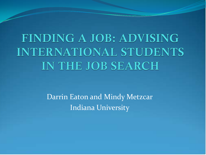**FINDING A JOB: ADVISING INTERNATIONAL STUDENTS** IN THE JOB SEARCH

> Darrin Eaton and Mindy Metzcar Indiana University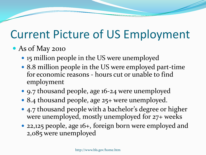### Current Picture of US Employment

### As of May 2010

- 15 million people in the US were unemployed
- 8.8 million people in the US were employed part-time for economic reasons - hours cut or unable to find employment
- 9.7 thousand people, age 16-24 were unemployed
- 8.4 thousand people, age 25+ were unemployed.
- 4.7 thousand people with a bachelor's degree or higher were unemployed, mostly unemployed for 27+ weeks
- 22,125 people, age 16+, foreign born were employed and 2,085 were unemployed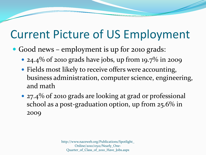### Current Picture of US Employment

- Good news employment is up for 2010 grads:
	- 24.4% of 2010 grads have jobs, up from 19.7% in 2009
	- Fields most likely to receive offers were accounting, business administration, computer science, engineering, and math
	- 27.4% of 2010 grads are looking at grad or professional school as a post-graduation option, up from 25.6% in 2009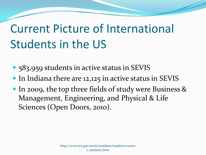# Current Picture of International Students in the US

- 583,959 students in active status in SEVIS
- In Indiana there are 12,125 in active status in SEVIS
- In 2009, the top three fields of study were Business & Management, Engineering, and Physical & Life Sciences (Open Doors, 2010).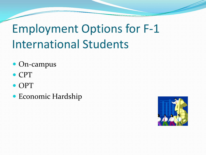# Employment Options for F-1 International Students

- On-campus
- CPT
- OPT
- Economic Hardship

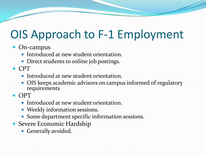### OIS Approach to F-1 Employment

- On-campus
	- Introduced at new student orientation.
	- Direct students to online job postings.
- CPT
	- Introduced at new student orientation.
	- OIS keeps academic advisors on campus informed of regulatory requirements
- $\bullet$  OPT
	- Introduced at new student orientation.
	- Weekly information sessions.
	- Some department specific information sessions.
- Severe Economic Hardship
	- Generally avoided.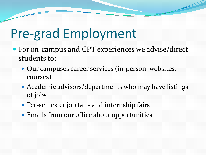# Pre-grad Employment

- For on-campus and CPT experiences we advise/direct students to:
	- Our campuses career services (in-person, websites, courses)
	- Academic advisors/departments who may have listings of jobs
	- Per-semester job fairs and internship fairs
	- Emails from our office about opportunities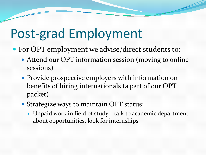# Post-grad Employment

- For OPT employment we advise/direct students to:
	- Attend our OPT information session (moving to online sessions)
	- Provide prospective employers with information on benefits of hiring internationals (a part of our OPT packet)
	- Strategize ways to maintain OPT status:
		- Unpaid work in field of study talk to academic department about opportunities, look for internships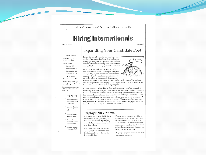Office of International Services, Indiana University

### **Hiring Internationals**

Volume 8, Issue 1

#### Spring 2010

### **Expanding Your Candidate Pool**

#### **Fast Facts**

· 2009-10 Foreign Student Enrollment; 4608\* · Primary Majors:

> Business-30% Performing Arts-7% Computer Sci-5% Social Sciences-7% Education-6%

• Graduating seniors-II% · Projected Internship candidates (grad & undergrad)-up

to 3,000 students \*Represents Bloomington campus only. System-wide enroll-

ment: 6344

Step-by-Step

Include international students in your applicant pool

Interview them just as you would Americans

Ask student about work permission

Rely on the student to obtain the necessary permission

√ Enjoy a productive, dedicated, reliable new professional

Indiana University is attracting and educating a record number of international students. In light of current unemployment figures, hiring these international students would be an effective way to fill open positions with qualified, educated, highly-motivated personnel.

In the 2009-2010 academic year, international student enrollment at Indiana University-Bloomington is at a high of 4,608, an increase of 7% from the previous year. Over 30 percent of these students are in the Kelley School of Business, with the remainder

scattered among all majors. As a group, they perform well in terms of the grades they earn (Undergraduate GPAs averaging 3.1, on a 4-point scale). The skills needed to perform at this level would be an asset to any company.

If your company is thinking globally, these students provide the staffing you need. In Capitalizing on the Global Workforce (1997) Schell & Solomon present six basic characteristics of successful global workers: acceptance, knowledge, positive emotions, lifestyle, interaction and communication. International students fit this profile perfectly. Companies that are globalizing can use student cross-cultural expertise, as well as the personal characteristics that made them successful in the US. If they return to their home countries, businesses will have local contacts at least, on-site overseas employees at best, and international liaisons in any case. It's a win-win situation!

### **Employment Options**

International students are eligible for internships (pre or post-graduation), or short-term employment (up to a year) with virtually no requirements placed upon the employer.

With a little more effort and minimal expense, employers may hire international students for up to six years (in three-year blocks).

If, at any point, the employer wishes to sponsor an international for a more permanent position, that, too, is possible. These transitions from one visa status to another can be seamless, if both employer and employee think ahead. Please see the hiring chart on the next page.

Do you get long-term commitments from your current employees?

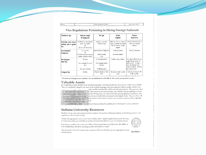HIRING INTERNATIONALS

Visa Regulations Pertaining to Hiring Foreign Nationals

| <b>Employment Type</b>                                            | Maximum Length<br>Of Employment                                                                 | Visa Type                                                                              | Student<br>Eligibility                                                                                          | Employer<br><b>Requirements</b>                                                                                                                                                           |
|-------------------------------------------------------------------|-------------------------------------------------------------------------------------------------|----------------------------------------------------------------------------------------|-----------------------------------------------------------------------------------------------------------------|-------------------------------------------------------------------------------------------------------------------------------------------------------------------------------------------|
| Internships, some research<br>positions, prior to gradua-<br>tion | PT (20 hrs) for unlimited time<br>period, most students<br>0R<br>FT, for $12-18$ months $(I-I)$ | Academic or Curricular<br>Practical Training                                           | Work must relate to a course or<br>satisfy a graduation requirement.<br>Must be related to academic<br>program. | Provide job description and, in<br>some cases, internship<br>evaluations.                                                                                                                 |
| Post Graduation<br>Employment                                     | FT, 12 months<br>FT, 18-36 months for some grad<br>students, cumulative w/above                 | Optional Practical Training (F-1)<br><b>Academic Training</b><br>$( -1)$               | Graduating Students<br>Coursework completed                                                                     | Provide job description.                                                                                                                                                                  |
| Non-immigrant<br>Work Visa                                        | Five years<br>3 yrs., renewable for up to 6<br>years<br>Three years, renewable                  | -1 researcher/professor<br>H-1B (temporary worker)<br>Cap issue<br>TN (NAFTA partners) | Bachelor's degree minimum                                                                                       | F-I's apply to DOL & DHS, may<br>require attorney services; 3-4<br>month process.* No require-<br>ment that Americans be re-<br>cruited or preferred. \$1500 fee<br>J-1;s quick and free! |
| Immigrant Visa                                                    | No limits                                                                                       | Permanent Resident or "Green<br>Card"                                                  | Immigrating students or grads,<br>varies                                                                        | Sponsorship, working thru DOL<br>& DHS, is possible.                                                                                                                                      |

\* Premium processing is now available. For an additional fee of \$1,000, H-1B's can be processed in 2 weeks.

### Valuable Assets

PAGE 2

By completing a course of study at an American institution, international students demonstrate a wide variety of skills. They are completely bilingual, and many speak multiple languages; they have adapted to life in another culture; they

 $\exists x q_1 q_2 q_3 q_4 p_5 q_6 p_6 p_8 p_9 p_6 q_4 p_7$ Internationals propositions worthingle. They चार चात्रकार वाट्यांड तक्का का बाह्य करना की 10. onlined global in imaginal mathes-. David Klassien, Vien Tradition, Alemany

have excelled academically, and have lived independently. They possess a sense of determination and tenaciousness, and, whether they are planning to remain in the US long-term, or return home after gaining significant experience, they are driven to build skills and succeed at the highest levels. They are often wellnetworked in their home countries and can assist companies who are globalizing.

Secondal Report & Suppy Aren't these precisely the qualities you're looking for in your candidates?

### **Indiana University Resources**

Ready to review some international student resumes? Do you have additional questions on the hiring process or visa regulations? We're ready to help!

Contact the appropriate career center (www.indiana.edu/~cppdirs/cppdir.htm) as your first step. Let them know that you would like to include international students in your recruitment process.



VOLUME 8, ISSUE 1

If you have a specific need, contact the Office of International Services (OIS) at 812-855-9086, or Lschrade@indiana.edu about accessing specific nationalities or majors.

Visa questions? If we can't answer your question at OIS, we will refer you to an appropriate source **IMONAUNIVERSITY** of information.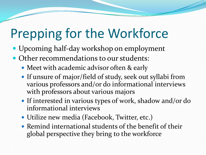# Prepping for the Workforce

- Upcoming half-day workshop on employment
- Other recommendations to our students:
	- Meet with academic advisor often & early
	- If unsure of major/field of study, seek out syllabi from various professors and/or do informational interviews with professors about various majors
	- If interested in various types of work, shadow and/or do informational interviews
	- Utilize new media (Facebook, Twitter, etc.)
	- Remind international students of the benefit of their global perspective they bring to the workforce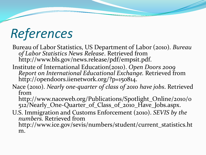# *References*

Bureau of Labor Statistics, US Department of Labor (2010). *Bureau of Labor Statistics News Release*. Retrieved from http://www.bls.gov/news.release/pdf/empsit.pdf.

- Institute of International Education(2010). *Open Doors 2009 Report on International Educational Exchange.* Retrieved from http://opendoors.iienetwork.org/?p=150814.
- Nace (2010). *Nearly one-quarter of class of 2010 have jobs*. Retrieved from

http://www.naceweb.org/Publications/Spotlight\_Online/2010/0 512/Nearly\_One-Quarter\_of\_Class\_of\_2010\_Have\_Jobs.aspx.

U.S. Immigration and Customs Enforcement (2010). *SEVIS by the numbers.* Retrieved from

http://www.ice.gov/sevis/numbers/student/current\_statistics.ht m.